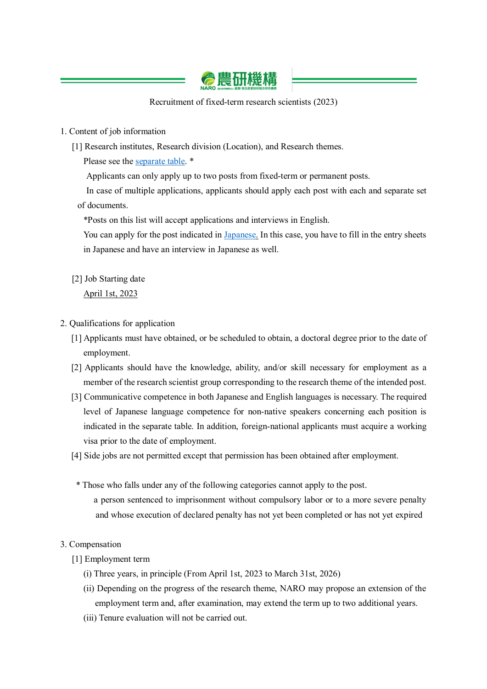

Recruitment of fixed-term research scientists (2023)

# 1. Content of job information

[1] Research institutes, Research division (Location), and Research themes.

Please see the [separate table.](https://www.naro.go.jp/english/contents/files/15beb769d06fc2f2c5eea91c2ef0af8b.pdf) \*

Applicants can only apply up to two posts from fixed-term or permanent posts.

In case of multiple applications, applicants should apply each post with each and separate set of documents.

\*Posts on this list will accept applications and interviews in English.

You can apply for the post indicated in [Japanese.](https://www.naro.go.jp/acquisition/2022/05/153300.html) In this case, you have to fill in the entry sheets in Japanese and have an interview in Japanese as well.

[2] Job Starting date

April 1st, 2023

- 2. Qualifications for application
	- [1] Applicants must have obtained, or be scheduled to obtain, a doctoral degree prior to the date of employment.
	- [2] Applicants should have the knowledge, ability, and/or skill necessary for employment as a member of the research scientist group corresponding to the research theme of the intended post.
	- [3] Communicative competence in both Japanese and English languages is necessary. The required level of Japanese language competence for non-native speakers concerning each position is indicated in the separate table. In addition, foreign-national applicants must acquire a working visa prior to the date of employment.
	- [4] Side jobs are not permitted except that permission has been obtained after employment.
	- \* Those who falls under any of the following categories cannot apply to the post. a person sentenced to imprisonment without compulsory labor or to a more severe penalty and whose execution of declared penalty has not yet been completed or has not yet expired

## 3. Compensation

- [1] Employment term
	- (i) Three years, in principle (From April 1st, 2023 to March 31st, 2026)
	- (ii) Depending on the progress of the research theme, NARO may propose an extension of the employment term and, after examination, may extend the term up to two additional years.
	- (iii) Tenure evaluation will not be carried out.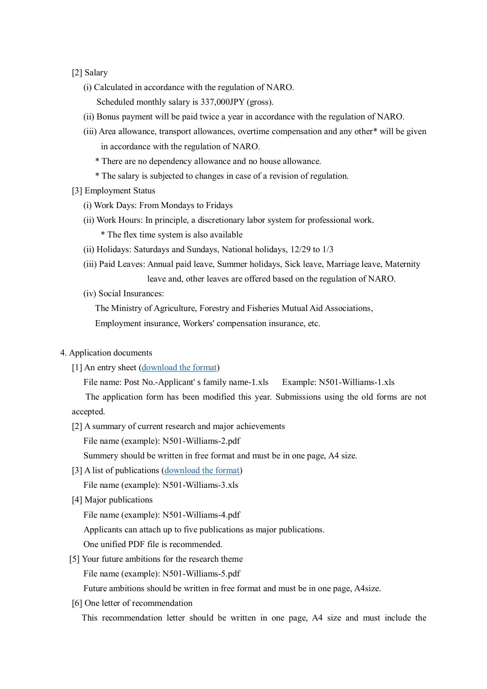#### [2] Salary

- (i) Calculated in accordance with the regulation of NARO.
	- Scheduled monthly salary is 337,000JPY (gross).
- (ii) Bonus payment will be paid twice a year in accordance with the regulation of NARO.
- (iii) Area allowance, transport allowances, overtime compensation and any other\* will be given in accordance with the regulation of NARO.
	- \* There are no dependency allowance and no house allowance.
	- \* The salary is subjected to changes in case of a revision of regulation.
- [3] Employment Status
	- (i) Work Days: From Mondays to Fridays
	- (ii) Work Hours: In principle, a discretionary labor system for professional work. \* The flex time system is also available
	- (ii) Holidays: Saturdays and Sundays, National holidays, 12/29 to 1/3
	- (iii) Paid Leaves: Annual paid leave, Summer holidays, Sick leave, Marriage leave, Maternity leave and, other leaves are offered based on the regulation of NARO.
	- (iv) Social Insurances:

The Ministry of Agriculture, Forestry and Fisheries Mutual Aid Associations,

Employment insurance, Workers' compensation insurance, etc.

- 4. Application documents
	- [1] An entry sheet [\(download the format\)](https://www.naro.go.jp/english/contents/files/6bb26c4878d32c39cedbff6840475b65.xls)

File name: Post No.-Applicant' s family name-1.xls Example: N501-Williams-1.xls

The application form has been modified this year. Submissions using the old forms are not accepted.

[2] A summary of current research and major achievements

File name (example): N501-Williams-2.pdf

Summery should be written in free format and must be in one page, A4 size.

[3] A list of publications [\(download the format\)](https://www.naro.go.jp/english/contents/files/e83bdab5ba2c4ae9679f0ee759a529ff.xls)

File name (example): N501-Williams-3.xls

[4] Major publications

File name (example): N501-Williams-4.pdf

Applicants can attach up to five publications as major publications.

- One unified PDF file is recommended.
- [5] Your future ambitions for the research theme

File name (example): N501-Williams-5.pdf

Future ambitions should be written in free format and must be in one page, A4size.

[6] One letter of recommendation

This recommendation letter should be written in one page, A4 size and must include the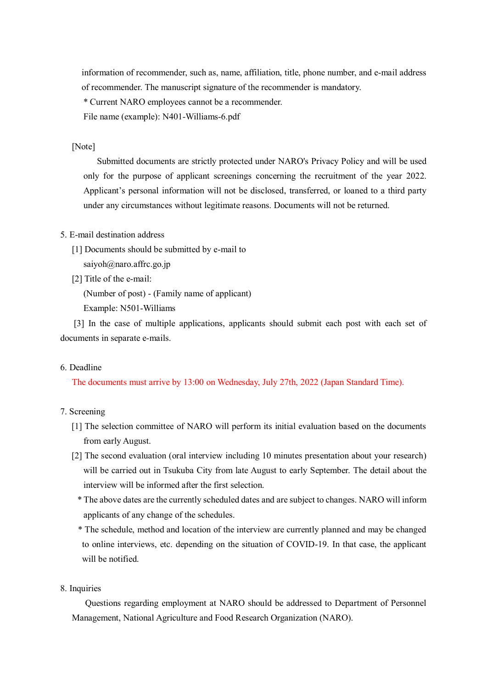information of recommender, such as, name, affiliation, title, phone number, and e-mail address of recommender. The manuscript signature of the recommender is mandatory.

\* Current NARO employees cannot be a recommender.

File name (example): N401-Williams-6.pdf

#### [Note]

 Submitted documents are strictly protected under NARO's Privacy Policy and will be used only for the purpose of applicant screenings concerning the recruitment of the year 2022. Applicant's personal information will not be disclosed, transferred, or loaned to a third party under any circumstances without legitimate reasons. Documents will not be returned.

#### 5. E-mail destination address

[1] Documents should be submitted by e-mail to

saiyoh@naro.affrc.go.jp

[2] Title of the e-mail:

(Number of post) - (Family name of applicant)

Example: N501-Williams

 [3] In the case of multiple applications, applicants should submit each post with each set of documents in separate e-mails.

### 6. Deadline

The documents must arrive by 13:00 on Wednesday, July 27th, 2022 (Japan Standard Time).

### 7. Screening

- [1] The selection committee of NARO will perform its initial evaluation based on the documents from early August.
- [2] The second evaluation (oral interview including 10 minutes presentation about your research) will be carried out in Tsukuba City from late August to early September. The detail about the interview will be informed after the first selection.
	- \* The above dates are the currently scheduled dates and are subject to changes. NARO will inform applicants of any change of the schedules.

\* The schedule, method and location of the interview are currently planned and may be changed to online interviews, etc. depending on the situation of COVID-19. In that case, the applicant will be notified.

## 8. Inquiries

 Questions regarding employment at NARO should be addressed to Department of Personnel Management, National Agriculture and Food Research Organization (NARO).